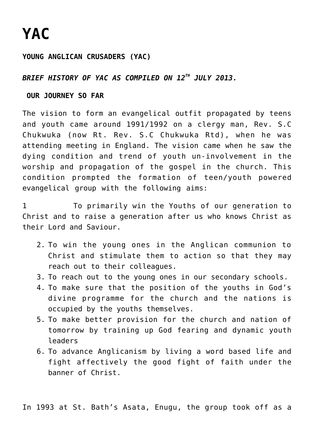# **[YAC](https://adonsk.com/yac/)**

#### **YOUNG ANGLICAN CRUSADERS (YAC)**

#### *BRIEF HISTORY OF YAC AS COMPILED ON 12TH JULY 2013.*

#### **OUR JOURNEY SO FAR**

The vision to form an evangelical outfit propagated by teens and youth came around 1991/1992 on a clergy man, Rev. S.C Chukwuka (now Rt. Rev. S.C Chukwuka Rtd), when he was attending meeting in England. The vision came when he saw the dying condition and trend of youth un-involvement in the worship and propagation of the gospel in the church. This condition prompted the formation of teen/youth powered evangelical group with the following aims:

1 To primarily win the Youths of our generation to Christ and to raise a generation after us who knows Christ as their Lord and Saviour.

- 2. To win the young ones in the Anglican communion to Christ and stimulate them to action so that they may reach out to their colleagues.
- 3. To reach out to the young ones in our secondary schools.
- 4. To make sure that the position of the youths in God's divine programme for the church and the nations is occupied by the youths themselves.
- 5. To make better provision for the church and nation of tomorrow by training up God fearing and dynamic youth leaders
- 6. To advance Anglicanism by living a word based life and fight affectively the good fight of faith under the banner of Christ.

In 1993 at St. Bath's Asata, Enugu, the group took off as a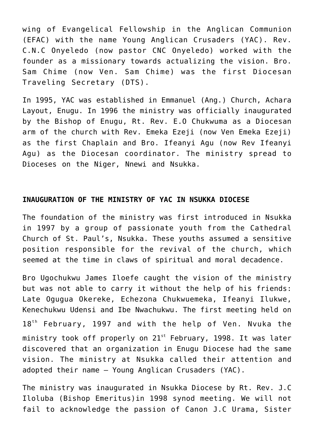wing of Evangelical Fellowship in the Anglican Communion (EFAC) with the name Young Anglican Crusaders (YAC). Rev. C.N.C Onyeledo (now pastor CNC Onyeledo) worked with the founder as a missionary towards actualizing the vision. Bro. Sam Chime (now Ven. Sam Chime) was the first Diocesan Traveling Secretary (DTS).

In 1995, YAC was established in Emmanuel (Ang.) Church, Achara Layout, Enugu. In 1996 the ministry was officially inaugurated by the Bishop of Enugu, Rt. Rev. E.O Chukwuma as a Diocesan arm of the church with Rev. Emeka Ezeji (now Ven Emeka Ezeji) as the first Chaplain and Bro. Ifeanyi Agu (now Rev Ifeanyi Agu) as the Diocesan coordinator. The ministry spread to Dioceses on the Niger, Nnewi and Nsukka.

#### **INAUGURATION OF THE MINISTRY OF YAC IN NSUKKA DIOCESE**

The foundation of the ministry was first introduced in Nsukka in 1997 by a group of passionate youth from the Cathedral Church of St. Paul's, Nsukka. These youths assumed a sensitive position responsible for the revival of the church, which seemed at the time in claws of spiritual and moral decadence.

Bro Ugochukwu James Iloefe caught the vision of the ministry but was not able to carry it without the help of his friends: Late Ogugua Okereke, Echezona Chukwuemeka, Ifeanyi Ilukwe, Kenechukwu Udensi and Ibe Nwachukwu. The first meeting held on  $18<sup>th</sup>$  February, 1997 and with the help of Ven. Nvuka the ministry took off properly on  $21^{st}$  February, 1998. It was later discovered that an organization in Enugu Diocese had the same vision. The ministry at Nsukka called their attention and adopted their name – Young Anglican Crusaders (YAC).

The ministry was inaugurated in Nsukka Diocese by Rt. Rev. J.C Iloluba (Bishop Emeritus)in 1998 synod meeting. We will not fail to acknowledge the passion of Canon J.C Urama, Sister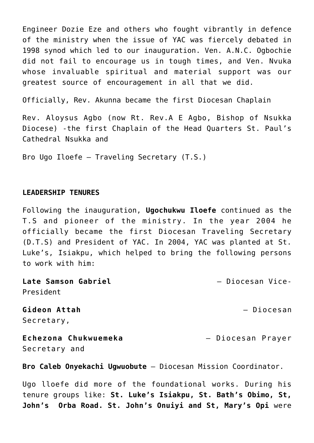Engineer Dozie Eze and others who fought vibrantly in defence of the ministry when the issue of YAC was fiercely debated in 1998 synod which led to our inauguration. Ven. A.N.C. Ogbochie did not fail to encourage us in tough times, and Ven. Nvuka whose invaluable spiritual and material support was our greatest source of encouragement in all that we did.

Officially, Rev. Akunna became the first Diocesan Chaplain

Rev. Aloysus Agbo (now Rt. Rev.A E Agbo, Bishop of Nsukka Diocese) -the first Chaplain of the Head Quarters St. Paul's Cathedral Nsukka and

Bro Ugo Iloefe – Traveling Secretary (T.S.)

#### **LEADERSHIP TENURES**

Following the inauguration, **Ugochukwu Iloefe** continued as the T.S and pioneer of the ministry. In the year 2004 he officially became the first Diocesan Traveling Secretary (D.T.S) and President of YAC. In 2004, YAC was planted at St. Luke's, Isiakpu, which helped to bring the following persons to work with him:

**Late Samson Gabriel** – Diocesan Vice-President **Gideon Attah** – Diocesan Secretary, **Echezona Chukwuemeka** – Diocesan Prayer Secretary and

**Bro Caleb Onyekachi Ugwuobute** – Diocesan Mission Coordinator.

Ugo lloefe did more of the foundational works. During his tenure groups like: **St. Luke's Isiakpu, St. Bath's Obimo, St, John's Orba Road. St. John's Onuiyi and St, Mary's Opi** were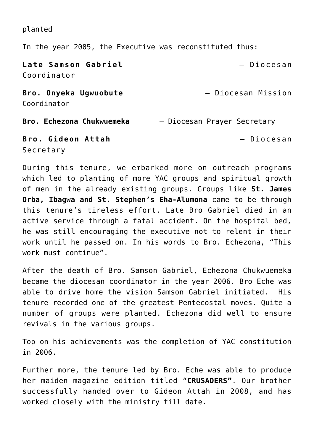planted

In the year 2005, the Executive was reconstituted thus:

**Late Samson Gabriel** – Diocesan Coordinator **Bro. Onyeka Ugwuobute** – Diocesan Mission Coordinator **Bro. Echezona Chukwuemeka** – Diocesan Prayer Secretary **Bro. Gideon Attah** – Diocesan

Secretary

During this tenure, we embarked more on outreach programs which led to planting of more YAC groups and spiritual growth of men in the already existing groups. Groups like **St. James Orba, Ibagwa and St. Stephen's Eha-Alumona** came to be through this tenure's tireless effort. Late Bro Gabriel died in an active service through a fatal accident. On the hospital bed, he was still encouraging the executive not to relent in their work until he passed on. In his words to Bro. Echezona, "This work must continue".

After the death of Bro. Samson Gabriel, Echezona Chukwuemeka became the diocesan coordinator in the year 2006. Bro Eche was able to drive home the vision Samson Gabriel initiated. His tenure recorded one of the greatest Pentecostal moves. Quite a number of groups were planted. Echezona did well to ensure revivals in the various groups.

Top on his achievements was the completion of YAC constitution in 2006.

Further more, the tenure led by Bro. Eche was able to produce her maiden magazine edition titled "**CRUSADERS"**. Our brother successfully handed over to Gideon Attah in 2008, and has worked closely with the ministry till date.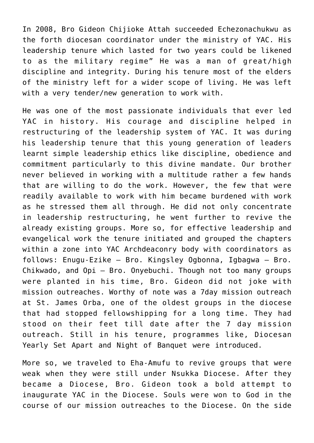In 2008, Bro Gideon Chijioke Attah succeeded Echezonachukwu as the forth diocesan coordinator under the ministry of YAC. His leadership tenure which lasted for two years could be likened to as the military regime" He was a man of great/high discipline and integrity. During his tenure most of the elders of the ministry left for a wider scope of living. He was left with a very tender/new generation to work with.

He was one of the most passionate individuals that ever led YAC in history. His courage and discipline helped in restructuring of the leadership system of YAC. It was during his leadership tenure that this young generation of leaders learnt simple leadership ethics like discipline, obedience and commitment particularly to this divine mandate. Our brother never believed in working with a multitude rather a few hands that are willing to do the work. However, the few that were readily available to work with him became burdened with work as he stressed them all through. He did not only concentrate in leadership restructuring, he went further to revive the already existing groups. More so, for effective leadership and evangelical work the tenure initiated and grouped the chapters within a zone into YAC Archdeaconry body with coordinators as follows: Enugu-Ezike – Bro. Kingsley Ogbonna, Igbagwa – Bro. Chikwado, and Opi – Bro. Onyebuchi. Though not too many groups were planted in his time, Bro. Gideon did not joke with mission outreaches. Worthy of note was a 7day mission outreach at St. James Orba, one of the oldest groups in the diocese that had stopped fellowshipping for a long time. They had stood on their feet till date after the 7 day mission outreach. Still in his tenure, programmes like, Diocesan Yearly Set Apart and Night of Banquet were introduced.

More so, we traveled to Eha-Amufu to revive groups that were weak when they were still under Nsukka Diocese. After they became a Diocese, Bro. Gideon took a bold attempt to inaugurate YAC in the Diocese. Souls were won to God in the course of our mission outreaches to the Diocese. On the side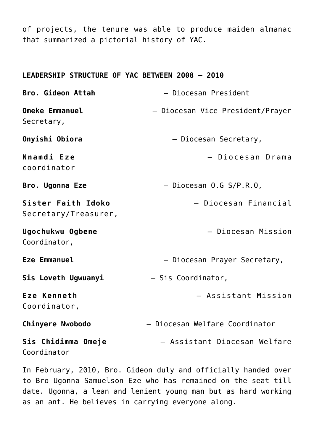of projects, the tenure was able to produce maiden almanac that summarized a pictorial history of YAC.

#### **LEADERSHIP STRUCTURE OF YAC BETWEEN 2008 – 2010**

| Bro. Gideon Attah                          | - Diocesan President             |
|--------------------------------------------|----------------------------------|
| <b>Omeke Emmanuel</b><br>Secretary,        | - Diocesan Vice President/Prayer |
| Onyishi Obiora                             | - Diocesan Secretary,            |
| <b>Nnamdi Eze</b><br>coordinator           | - Diocesan Drama                 |
| <b>Bro. Ugonna Eze</b>                     | $-$ Diocesan 0.G S/P.R.O,        |
| Sister Faith Idoko<br>Secretary/Treasurer, | - Diocesan Financial             |
| Ugochukwu Ogbene<br>Coordinator,           | - Diocesan Mission               |
| Eze Emmanuel                               | - Diocesan Prayer Secretary,     |
| Sis Loveth Ugwuanyi                        | - Sis Coordinator,               |
| Eze Kenneth<br>Coordinator,                | - Assistant Mission              |
| <b>Chinyere Nwobodo</b>                    | Diocesan Welfare Coordinator     |
| Sis Chidimma Omeje<br>Coordinator          | - Assistant Diocesan Welfare     |

In February, 2010, Bro. Gideon duly and officially handed over to Bro Ugonna Samuelson Eze who has remained on the seat till date. Ugonna, a lean and lenient young man but as hard working as an ant. He believes in carrying everyone along.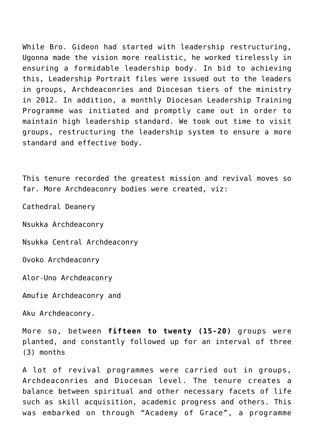While Bro. Gideon had started with leadership restructuring, Ugonna made the vision more realistic, he worked tirelessly in ensuring a formidable leadership body. In bid to achieving this, Leadership Portrait files were issued out to the leaders in groups, Archdeaconries and Diocesan tiers of the ministry in 2012. In addition, a monthly Diocesan Leadership Training Programme was initiated and promptly came out in order to maintain high leadership standard. We took out time to visit groups, restructuring the leadership system to ensure a more standard and effective body.

This tenure recorded the greatest mission and revival moves so far. More Archdeaconry bodies were created, viz:

Cathedral Deanery

Nsukka Archdeaconry

Nsukka Central Archdeaconry

Ovoko Archdeaconry

Alor-Uno Archdeaconry

Amufie Archdeaconry and

Aku Archdeaconry.

More so, between **fifteen to twenty (15-20)** groups were planted, and constantly followed up for an interval of three (3) months

A lot of revival programmes were carried out in groups, Archdeaconries and Diocesan level. The tenure creates a balance between spiritual and other necessary facets of life such as skill acquisition, academic progress and others. This was embarked on through "Academy of Grace", a programme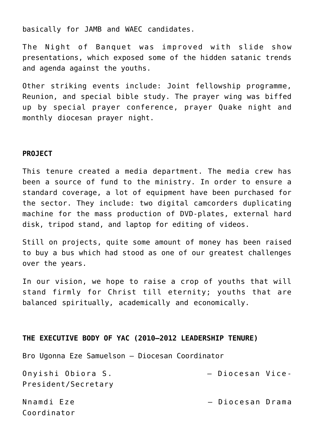basically for JAMB and WAEC candidates.

The Night of Banquet was improved with slide show presentations, which exposed some of the hidden satanic trends and agenda against the youths.

Other striking events include: Joint fellowship programme, Reunion, and special bible study. The prayer wing was biffed up by special prayer conference, prayer Quake night and monthly diocesan prayer night.

#### **PROJECT**

This tenure created a media department. The media crew has been a source of fund to the ministry. In order to ensure a standard coverage, a lot of equipment have been purchased for the sector. They include: two digital camcorders duplicating machine for the mass production of DVD-plates, external hard disk, tripod stand, and laptop for editing of videos.

Still on projects, quite some amount of money has been raised to buy a bus which had stood as one of our greatest challenges over the years.

In our vision, we hope to raise a crop of youths that will stand firmly for Christ till eternity; youths that are balanced spiritually, academically and economically.

#### **THE EXECUTIVE BODY OF YAC (2010–2012 LEADERSHIP TENURE)**

Bro Ugonna Eze Samuelson – Diocesan Coordinator

| Onyishi Obiora S.   | - Diocesan Vice- |  |
|---------------------|------------------|--|
| President/Secretary |                  |  |

Coordinator

Nnamdi Eze – Diocesan Drama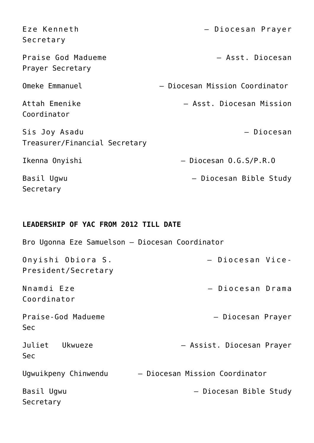| Eze Kenneth<br>Secretary                       | - Diocesan Prayer              |
|------------------------------------------------|--------------------------------|
| Praise God Madueme<br>Prayer Secretary         | - Asst. Diocesan               |
| Omeke Emmanuel                                 | - Diocesan Mission Coordinator |
| Attah Emenike<br>Coordinator                   | - Asst. Diocesan Mission       |
| Sis Joy Asadu<br>Treasurer/Financial Secretary | - Diocesan                     |
| Ikenna Onyishi                                 | $-$ Diocesan $0.G.S/P.R.O$     |
| Basil Ugwu<br>Secretary                        | - Diocesan Bible Study         |

### **LEADERSHIP OF YAC FROM 2012 TILL DATE**

| Bro Ugonna Eze Samuelson - Diocesan Coordinator |                                |
|-------------------------------------------------|--------------------------------|
| Onyishi Obiora S.<br>President/Secretary        | - Diocesan Vice-               |
| Nnamdi Eze<br>Coordinator                       | - Diocesan Drama               |
| Praise-God Madueme<br><b>Sec</b>                | - Diocesan Prayer              |
| Juliet Ukwueze<br><b>Sec</b>                    | - Assist. Diocesan Prayer      |
| Ugwuikpeny Chinwendu                            | - Diocesan Mission Coordinator |
| Basil Ugwu<br>Secretary                         | - Diocesan Bible Study         |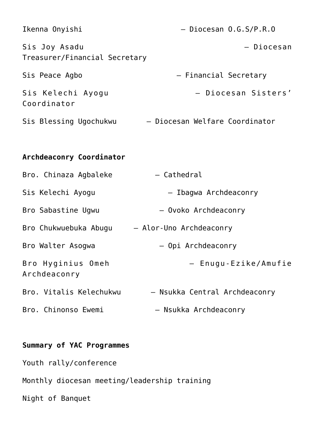| Ikenna Onyishi                                 | - Diocesan 0.G.S/P.R.O         |
|------------------------------------------------|--------------------------------|
| Sis Joy Asadu<br>Treasurer/Financial Secretary | - Diocesan                     |
| Sis Peace Agbo                                 | - Financial Secretary          |
| Sis Kelechi Ayogu<br>Coordinator               | - Diocesan Sisters'            |
| Sis Blessing Ugochukwu                         | - Diocesan Welfare Coordinator |
|                                                |                                |
| Archdeaconry Coordinator                       |                                |
| Bro. Chinaza Agbaleke                          | - Cathedral                    |
| Sis Kelechi Ayogu                              | - Ibagwa Archdeaconry          |
| Bro Sabastine Ugwu                             | - Ovoko Archdeaconry           |
| Bro Chukwuebuka Abugu - Alor-Uno Archdeaconry  |                                |
| Bro Walter Asogwa                              | - Opi Archdeaconry             |
| Bro Hyginius Omeh<br>Archdeaconry              | - Enugu-Ezike/Amufie           |
| Bro. Vitalis Kelechukwu                        | - Nsukka Central Archdeaconry  |
| Bro. Chinonso Ewemi                            | - Nsukka Archdeaconry          |

## **Summary of YAC Programmes**

Youth rally/conference

Monthly diocesan meeting/leadership training

Night of Banquet